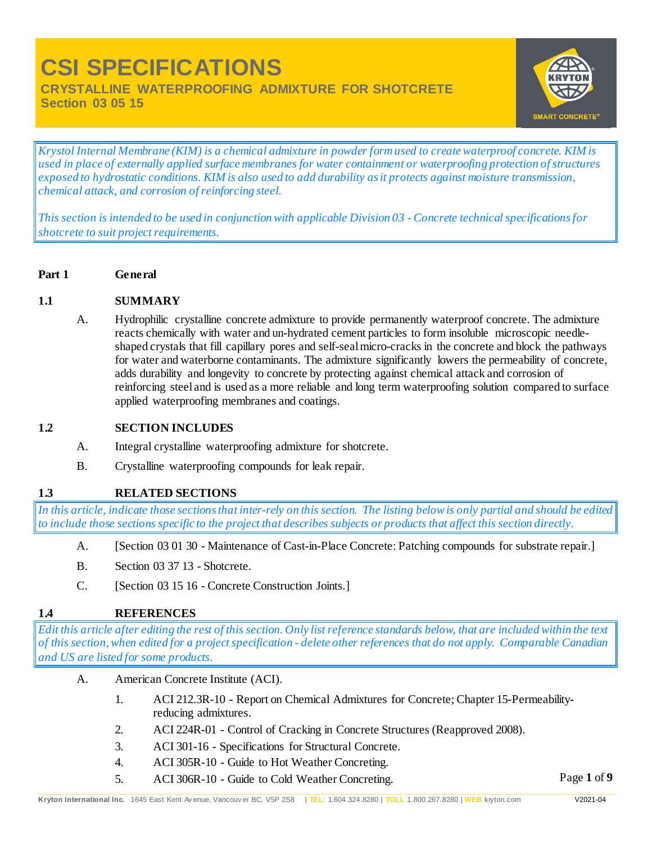**CRYSTALLINE WATERPROOFING ADMIXTURE FOR SHOTCRETE Section 03 05 15** 



*Krystol Internal Membrane (KIM) is a chemical admixture in powder form used to create waterproof concrete. KIM is used in place of externally applied surface membranes for water containment or waterproofing protection of structures exposed to hydrostatic conditions. KIM is also used to add durability as it protects against moisture transmission, chemical attack, and corrosion of reinforcing steel.*

*This section is intended to be used in conjunction with applicable Division 03 - Concrete technical specifications for shotcrete to suit project requirements.*

**Part 1 General**

### **1.1 SUMMARY**

A. Hydrophilic crystalline concrete admixture to provide permanently waterproof concrete. The admixture reacts chemically with water and un-hydrated cement particles to form insoluble microscopic needleshaped crystals that fill capillary pores and self-seal micro-cracks in the concrete and block the pathways for water and waterborne contaminants. The admixture significantly lowers the permeability of concrete, adds durability and longevity to concrete by protecting against chemical attack and corrosion of reinforcing steel and is used as a more reliable and long term waterproofing solution compared to surface applied waterproofing membranes and coatings.

### **1.2 SECTION INCLUDES**

- A. Integral crystalline waterproofing admixture for shotcrete.
- B. Crystalline waterproofing compounds for leak repair.

### **1.3 RELATED SECTIONS**

*In this article, indicate those sections that inter-rely on this section. The listing below is only partial and should be edited to include those sections specific to the project that describes subjects or products that affect this section directly.*

- A. [Section 03 01 30 Maintenance of Cast-in-Place Concrete: Patching compounds for substrate repair.]
- B. Section 03 37 13 Shotcrete.
- C. [Section 03 15 16 Concrete Construction Joints.]

### **1.4 REFERENCES**

*Edit this article after editing the rest of this section. Only list reference standards below, that are included within the text of this section, when edited for a project specification - delete other references that do not apply. Comparable Canadian and US are listed for some products.*

- A. American Concrete Institute (ACI).
	- 1. ACI 212.3R-10 Report on Chemical Admixtures for Concrete; Chapter 15-Permeabilityreducing admixtures.
	- 2. ACI 224R-01 Control of Cracking in Concrete Structures (Reapproved 2008).
	- 3. ACI 301-16 Specifications for Structural Concrete.
	- 4. ACI 305R-10 Guide to Hot Weather Concreting.
	- 5. ACI 306R-10 Guide to Cold Weather Concreting.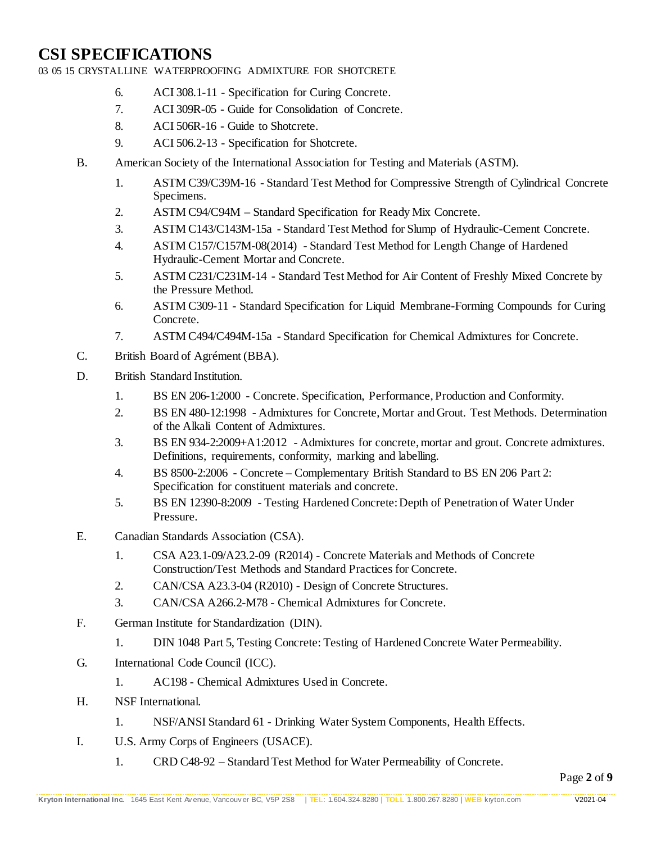03 05 15 CRYSTALLINE WATERPROOFING ADMIXTURE FOR SHOTCRETE

- 6. ACI 308.1-11 Specification for Curing Concrete.
- 7. ACI 309R-05 Guide for Consolidation of Concrete.
- 8. ACI 506R-16 Guide to Shotcrete.
- 9. ACI 506.2-13 Specification for Shotcrete.
- B. American Society of the International Association for Testing and Materials (ASTM).
	- 1. ASTM C39/C39M-16 Standard Test Method for Compressive Strength of Cylindrical Concrete Specimens.
	- 2. ASTM C94/C94M Standard Specification for Ready Mix Concrete.
	- 3. ASTM C143/C143M-15a Standard Test Method for Slump of Hydraulic-Cement Concrete.
	- 4. ASTM C157/C157M-08(2014) Standard Test Method for Length Change of Hardened Hydraulic-Cement Mortar and Concrete.
	- 5. ASTM C231/C231M-14 Standard Test Method for Air Content of Freshly Mixed Concrete by the Pressure Method.
	- 6. ASTM C309-11 Standard Specification for Liquid Membrane-Forming Compounds for Curing Concrete.
	- 7. ASTM C494/C494M-15a Standard Specification for Chemical Admixtures for Concrete.
- C. British Board of Agrément (BBA).
- D. British Standard Institution.
	- 1. BS EN 206-1:2000 Concrete. Specification, Performance, Production and Conformity.
	- 2. BS EN 480-12:1998 Admixtures for Concrete, Mortar and Grout. Test Methods. Determination of the Alkali Content of Admixtures.
	- 3. BS EN 934-2:2009+A1:2012 Admixtures for concrete, mortar and grout. Concrete admixtures. Definitions, requirements, conformity, marking and labelling.
	- 4. BS 8500-2:2006 Concrete Complementary British Standard to BS EN 206 Part 2: Specification for constituent materials and concrete.
	- 5. BS EN 12390-8:2009 Testing Hardened Concrete: Depth of Penetration of Water Under Pressure.
- E. Canadian Standards Association (CSA).
	- 1. CSA A23.1-09/A23.2-09 (R2014) Concrete Materials and Methods of Concrete Construction/Test Methods and Standard Practices for Concrete.
	- 2. CAN/CSA A23.3-04 (R2010) Design of Concrete Structures.
	- 3. CAN/CSA A266.2-M78 Chemical Admixtures for Concrete.
- F. German Institute for Standardization (DIN).
	- 1. DIN 1048 Part 5, Testing Concrete: Testing of Hardened Concrete Water Permeability.
- G. International Code Council (ICC).
	- 1. AC198 Chemical Admixtures Used in Concrete.
- H. NSF International.
	- 1. NSF/ANSI Standard 61 Drinking Water System Components, Health Effects.
- I. U.S. Army Corps of Engineers (USACE).
	- 1. CRD C48-92 Standard Test Method for Water Permeability of Concrete.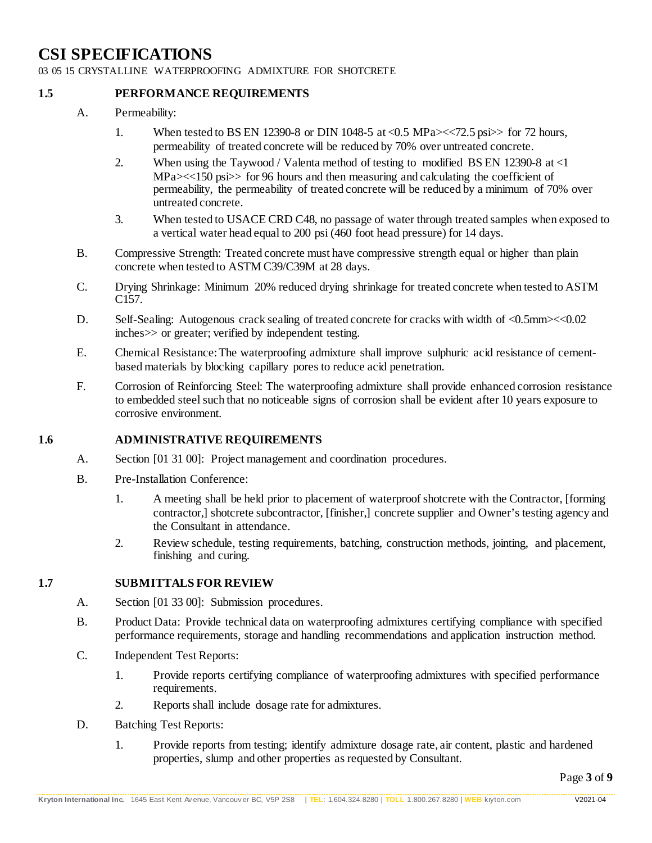03 05 15 CRYSTALLINE WATERPROOFING ADMIXTURE FOR SHOTCRETE

### **1.5 PERFORMANCE REQUIREMENTS**

- A. Permeability:
	- 1. When tested to BS EN 12390-8 or DIN 1048-5 at <0.5 MPa $\ll$  -<72.5 psi > for 72 hours, permeability of treated concrete will be reduced by 70% over untreated concrete.
	- 2. When using the Taywood / Valenta method of testing to modified BS EN 12390-8 at <1 MPa $\ll$  150 psi  $\gg$  for 96 hours and then measuring and calculating the coefficient of permeability, the permeability of treated concrete will be reduced by a minimum of 70% over untreated concrete.
	- 3. When tested to USACE CRD C48, no passage of water through treated samples when exposed to a vertical water head equal to 200 psi (460 foot head pressure) for 14 days.
- B. Compressive Strength: Treated concrete must have compressive strength equal or higher than plain concrete when tested to ASTM C39/C39M at 28 days.
- C. Drying Shrinkage: Minimum 20% reduced drying shrinkage for treated concrete when tested to ASTM C157.
- D. Self-Sealing: Autogenous crack sealing of treated concrete for cracks with width of <0.5mm><<0.02 inches>> or greater; verified by independent testing.
- E. Chemical Resistance: The waterproofing admixture shall improve sulphuric acid resistance of cementbased materials by blocking capillary pores to reduce acid penetration.
- F. Corrosion of Reinforcing Steel: The waterproofing admixture shall provide enhanced corrosion resistance to embedded steel such that no noticeable signs of corrosion shall be evident after 10 years exposure to corrosive environment.

### **1.6 ADMINISTRATIVE REQUIREMENTS**

- A. Section [01 31 00]: Project management and coordination procedures.
- B. Pre-Installation Conference:
	- 1. A meeting shall be held prior to placement of waterproof shotcrete with the Contractor, [forming contractor,] shotcrete subcontractor, [finisher,] concrete supplier and Owner's testing agency and the Consultant in attendance.
	- 2. Review schedule, testing requirements, batching, construction methods, jointing, and placement, finishing and curing.

### **1.7 SUBMITTALS FOR REVIEW**

- A. Section [01 33 00]: Submission procedures.
- B. Product Data: Provide technical data on waterproofing admixtures certifying compliance with specified performance requirements, storage and handling recommendations and application instruction method.
- C. Independent Test Reports:
	- 1. Provide reports certifying compliance of waterproofing admixtures with specified performance requirements.
	- 2. Reports shall include dosage rate for admixtures.
- D. Batching Test Reports:
	- 1. Provide reports from testing; identify admixture dosage rate, air content, plastic and hardened properties, slump and other properties as requested by Consultant.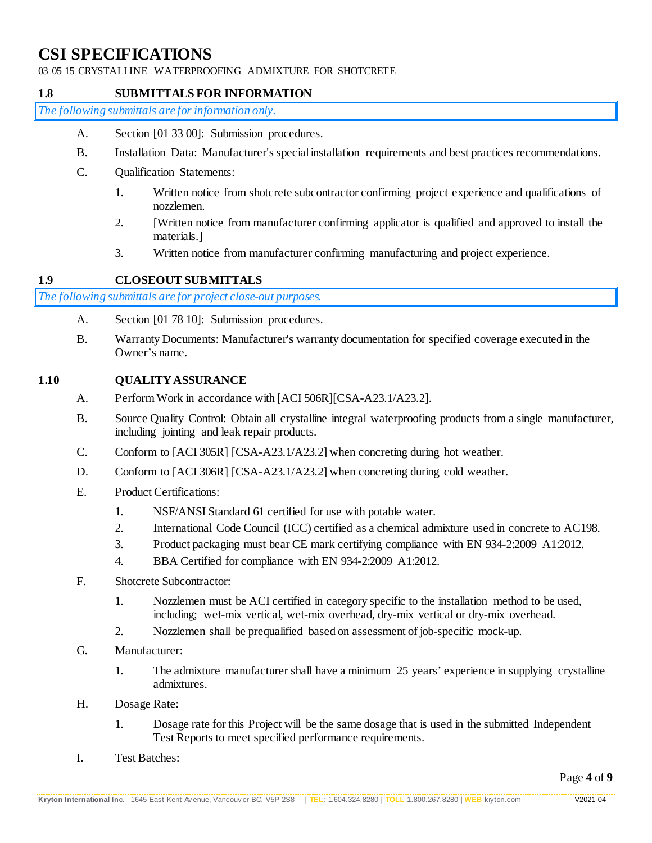03 05 15 CRYSTALLINE WATERPROOFING ADMIXTURE FOR SHOTCRETE

### **1.8 SUBMITTALS FOR INFORMATION**

*The following submittals are for information only.*

- A. Section [01 33 00]: Submission procedures.
- B. Installation Data: Manufacturer's special installation requirements and best practices recommendations.
- C. Qualification Statements:
	- 1. Written notice from shotcrete subcontractor confirming project experience and qualifications of nozzlemen.
	- 2. [Written notice from manufacturer confirming applicator is qualified and approved to install the materials.]
	- 3. Written notice from manufacturer confirming manufacturing and project experience.

### **1.9 CLOSEOUT SUBMITTALS**

*The following submittals are for project close-out purposes.*

- A. Section [01 78 10]: Submission procedures.
- B. Warranty Documents: Manufacturer's warranty documentation for specified coverage executed in the Owner's name.

### **1.10 QUALITY ASSURANCE**

- A. Perform Work in accordance with [ACI 506R][CSA-A23.1/A23.2].
- B. Source Quality Control: Obtain all crystalline integral waterproofing products from a single manufacturer, including jointing and leak repair products.
- C. Conform to [ACI 305R] [CSA-A23.1/A23.2] when concreting during hot weather.
- D. Conform to [ACI 306R] [CSA-A23.1/A23.2] when concreting during cold weather.
- E. Product Certifications:
	- 1. NSF/ANSI Standard 61 certified for use with potable water.
	- 2. International Code Council (ICC) certified as a chemical admixture used in concrete to AC198.
	- 3. Product packaging must bear CE mark certifying compliance with EN 934-2:2009 A1:2012.
	- 4. BBA Certified for compliance with EN 934-2:2009 A1:2012.
- F. Shotcrete Subcontractor:
	- 1. Nozzlemen must be ACI certified in category specific to the installation method to be used, including; wet-mix vertical, wet-mix overhead, dry-mix vertical or dry-mix overhead.
	- 2. Nozzlemen shall be prequalified based on assessment of job-specific mock-up.
- G. Manufacturer:
	- 1. The admixture manufacturer shall have a minimum 25 years' experience in supplying crystalline admixtures.
- H. Dosage Rate:
	- 1. Dosage rate for this Project will be the same dosage that is used in the submitted Independent Test Reports to meet specified performance requirements.
- I. Test Batches: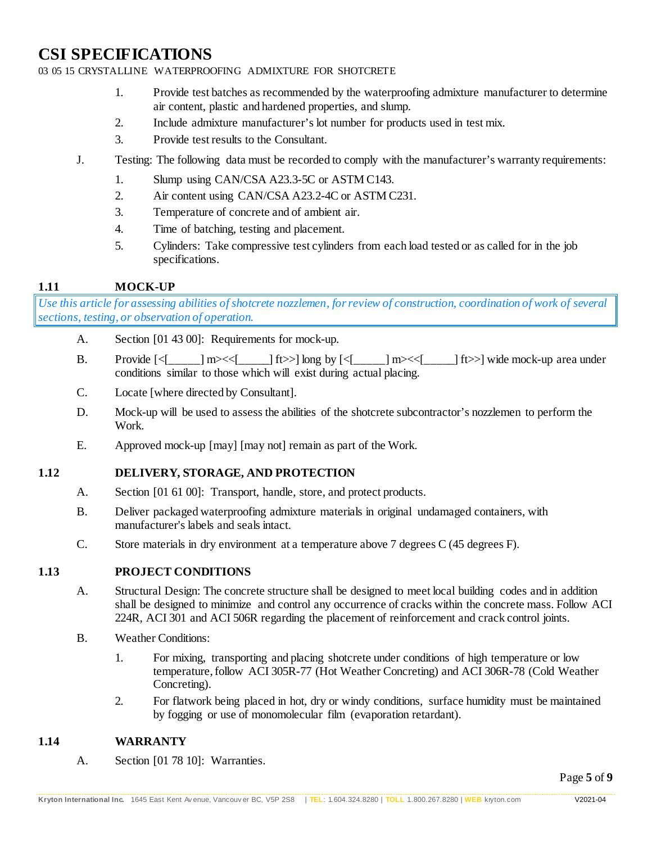### 03 05 15 CRYSTALLINE WATERPROOFING ADMIXTURE FOR SHOTCRETE

- 1. Provide test batches as recommended by the waterproofing admixture manufacturer to determine air content, plastic and hardened properties, and slump.
- 2. Include admixture manufacturer's lot number for products used in test mix.
- 3. Provide test results to the Consultant.
- J. Testing: The following data must be recorded to comply with the manufacturer's warranty requirements:
	- 1. Slump using CAN/CSA A23.3-5C or ASTM C143.
	- 2. Air content using CAN/CSA A23.2-4C or ASTM C231.
	- 3. Temperature of concrete and of ambient air.
	- 4. Time of batching, testing and placement.
	- 5. Cylinders: Take compressive test cylinders from each load tested or as called for in the job specifications.

### **1.11 MOCK-UP**

*Use this article for assessing abilities of shotcrete nozzlemen, for review of construction, coordination of work of several sections, testing, or observation of operation.* 

- A. Section [01 43 00]: Requirements for mock-up.
- B. Provide  $\left[\langle \begin{bmatrix} -\end{bmatrix} m \rangle \langle \langle \begin{bmatrix} -\end{bmatrix} m \rangle \rangle \right]$  long by  $\left[\langle \begin{bmatrix} -\end{bmatrix} m \rangle \langle \langle \begin{bmatrix} -\end{bmatrix} m \rangle \rangle \right]$  wide mock-up area under conditions similar to those which will exist during actual placing.
- C. Locate [where directed by Consultant].
- D. Mock-up will be used to assess the abilities of the shotcrete subcontractor's nozzlemen to perform the Work.
- E. Approved mock-up [may] [may not] remain as part of the Work.

### **1.12 DELIVERY, STORAGE, AND PROTECTION**

- A. Section [01 61 00]: Transport, handle, store, and protect products.
- B. Deliver packaged waterproofing admixture materials in original undamaged containers, with manufacturer's labels and seals intact.
- C. Store materials in dry environment at a temperature above 7 degrees C (45 degrees F).

### **1.13 PROJECT CONDITIONS**

- A. Structural Design: The concrete structure shall be designed to meet local building codes and in addition shall be designed to minimize and control any occurrence of cracks within the concrete mass. Follow ACI 224R, ACI 301 and ACI 506R regarding the placement of reinforcement and crack control joints.
- B. Weather Conditions:
	- 1. For mixing, transporting and placing shotcrete under conditions of high temperature or low temperature, follow ACI 305R-77 (Hot Weather Concreting) and ACI 306R-78 (Cold Weather Concreting).
	- 2. For flatwork being placed in hot, dry or windy conditions, surface humidity must be maintained by fogging or use of monomolecular film (evaporation retardant).

### **1.14 WARRANTY**

A. Section [01 78 10]: Warranties.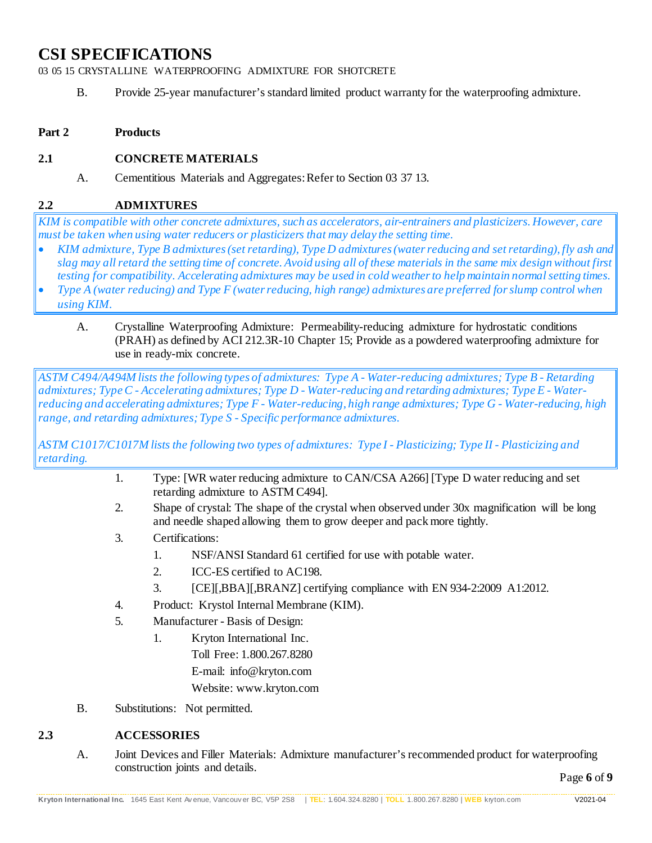03 05 15 CRYSTALLINE WATERPROOFING ADMIXTURE FOR SHOTCRETE

B. Provide 25-year manufacturer's standard limited product warranty for the waterproofing admixture.

### **Part 2 Products**

### **2.1 CONCRETE MATERIALS**

A. Cementitious Materials and Aggregates: Refer to Section 03 37 13.

### **2.2 ADMIXTURES**

*KIM is compatible with other concrete admixtures, such as accelerators, air-entrainers and plasticizers. However, care must be taken when using water reducers or plasticizers that may delay the setting time.*

- *KIM admixture, Type B admixtures (set retarding), Type D admixtures (water reducing and set retarding), fly ash and slag may all retard the setting time of concrete. Avoid using all of these materials in the same mix design without first testing for compatibility. Accelerating admixtures may be used in cold weather to help maintain normal setting times.*
- *Type A (water reducing) and Type F (water reducing, high range) admixtures are preferred for slump control when using KIM.*
	- A. Crystalline Waterproofing Admixture: Permeability-reducing admixture for hydrostatic conditions (PRAH) as defined by ACI 212.3R-10 Chapter 15; Provide as a powdered waterproofing admixture for use in ready-mix concrete.

*ASTM C494/A494M lists the following types of admixtures: Type A - Water-reducing admixtures; Type B - Retarding admixtures; Type C - Accelerating admixtures; Type D - Water-reducing and retarding admixtures; Type E - Waterreducing and accelerating admixtures; Type F - Water-reducing, high range admixtures; Type G - Water-reducing, high range, and retarding admixtures; Type S - Specific performance admixtures.* 

*ASTM C1017/C1017M lists the following two types of admixtures: Type I - Plasticizing; Type II - Plasticizing and retarding.*

- 1. Type: [WR water reducing admixture to CAN/CSA A266] [Type D water reducing and set retarding admixture to ASTM C494].
- 2. Shape of crystal: The shape of the crystal when observed under 30x magnification will be long and needle shaped allowing them to grow deeper and pack more tightly.
- 3. Certifications:
	- 1. NSF/ANSI Standard 61 certified for use with potable water.
	- 2. ICC-ES certified to AC198.
	- 3. [CE][,BBA][,BRANZ] certifying compliance with EN 934-2:2009 A1:2012.
- 4. Product: Krystol Internal Membrane (KIM).
- 5. Manufacturer Basis of Design:
	- 1. Kryton International Inc. Toll Free: 1.800.267.8280 E-mail: info@kryton.com Website: www.kryton.com
- B. Substitutions: Not permitted.

### **2.3 ACCESSORIES**

A. Joint Devices and Filler Materials: Admixture manufacturer's recommended product for waterproofing construction joints and details.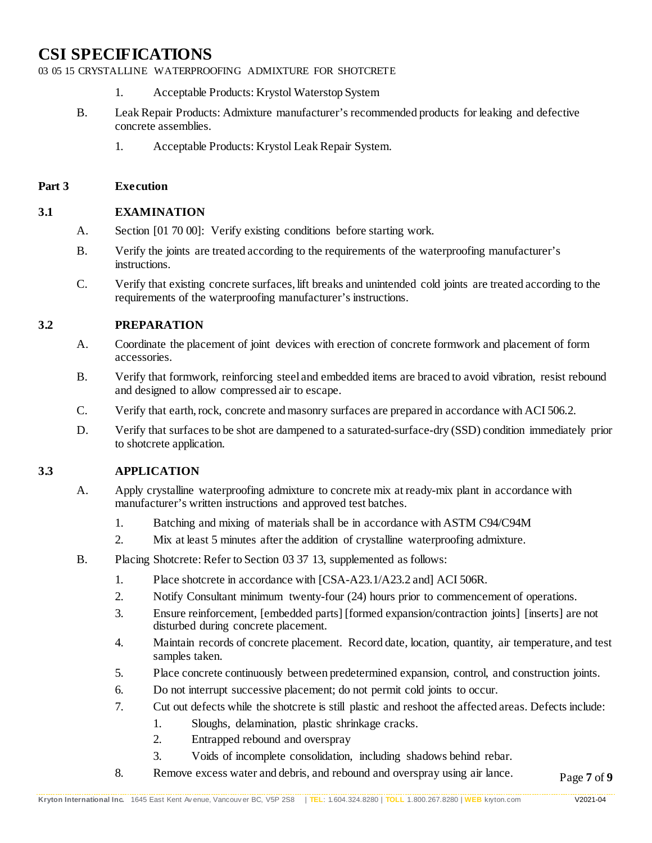03 05 15 CRYSTALLINE WATERPROOFING ADMIXTURE FOR SHOTCRETE

- 1. Acceptable Products: Krystol Waterstop System
- B. Leak Repair Products: Admixture manufacturer's recommended products for leaking and defective concrete assemblies.
	- 1. Acceptable Products: Krystol Leak Repair System.

#### **Part 3 Execution**

### **3.1 EXAMINATION**

- A. Section [01 70 00]: Verify existing conditions before starting work.
- B. Verify the joints are treated according to the requirements of the waterproofing manufacturer's instructions.
- C. Verify that existing concrete surfaces, lift breaks and unintended cold joints are treated according to the requirements of the waterproofing manufacturer's instructions.

### **3.2 PREPARATION**

- A. Coordinate the placement of joint devices with erection of concrete formwork and placement of form accessories.
- B. Verify that formwork, reinforcing steel and embedded items are braced to avoid vibration, resist rebound and designed to allow compressed air to escape.
- C. Verify that earth, rock, concrete and masonry surfaces are prepared in accordance with ACI 506.2.
- D. Verify that surfaces to be shot are dampened to a saturated-surface-dry (SSD) condition immediately prior to shotcrete application.

### **3.3 APPLICATION**

- A. Apply crystalline waterproofing admixture to concrete mix at ready-mix plant in accordance with manufacturer's written instructions and approved test batches.
	- 1. Batching and mixing of materials shall be in accordance with ASTM C94/C94M
	- 2. Mix at least 5 minutes after the addition of crystalline waterproofing admixture.
- B. Placing Shotcrete: Refer to Section 03 37 13, supplemented as follows:
	- 1. Place shotcrete in accordance with [CSA-A23.1/A23.2 and] ACI 506R.
	- 2. Notify Consultant minimum twenty-four (24) hours prior to commencement of operations.
	- 3. Ensure reinforcement, [embedded parts] [formed expansion/contraction joints] [inserts] are not disturbed during concrete placement.
	- 4. Maintain records of concrete placement. Record date, location, quantity, air temperature, and test samples taken.
	- 5. Place concrete continuously between predetermined expansion, control, and construction joints.
	- 6. Do not interrupt successive placement; do not permit cold joints to occur.
	- 7. Cut out defects while the shotcrete is still plastic and reshoot the affected areas. Defects include:
		- 1. Sloughs, delamination, plastic shrinkage cracks.
		- 2. Entrapped rebound and overspray
		- 3. Voids of incomplete consolidation, including shadows behind rebar.
	- 8. Remove excess water and debris, and rebound and overspray using air lance.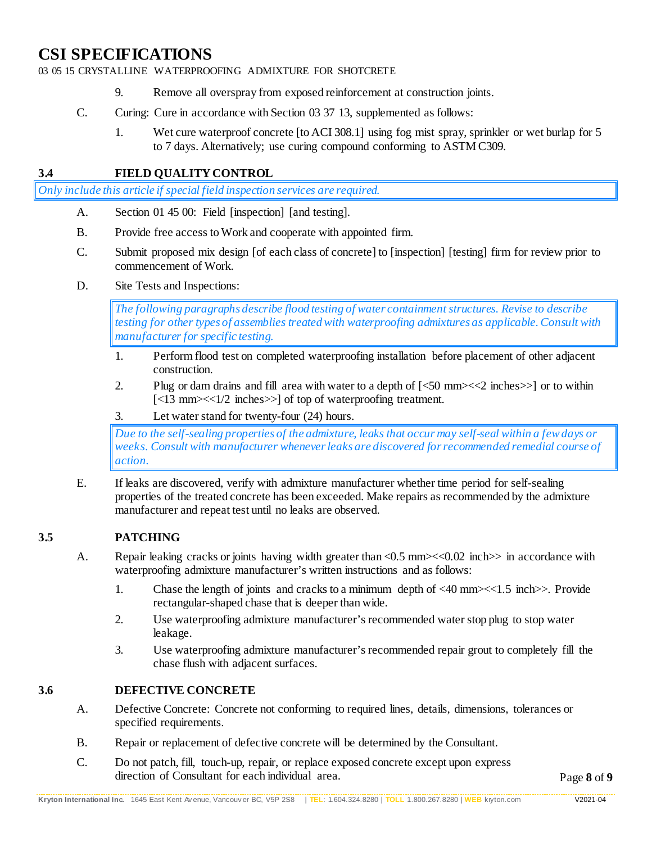03 05 15 CRYSTALLINE WATERPROOFING ADMIXTURE FOR SHOTCRETE

- 9. Remove all overspray from exposed reinforcement at construction joints.
- C. Curing: Cure in accordance with Section 03 37 13, supplemented as follows:
	- 1. Wet cure waterproof concrete [to ACI 308.1] using fog mist spray, sprinkler or wet burlap for 5 to 7 days. Alternatively; use curing compound conforming to ASTM C309.

### **3.4 FIELD QUALITY CONTROL**

*Only include this article if special field inspection services are required.*

- A. Section 01 45 00: Field [inspection] [and testing].
- B. Provide free access to Work and cooperate with appointed firm.
- C. Submit proposed mix design [of each class of concrete] to [inspection] [testing] firm for review prior to commencement of Work.
- D. Site Tests and Inspections:

*The following paragraphs describe flood testing of water containmentstructures. Revise to describe testing for other types of assemblies treatedwith waterproofing admixtures as applicable. Consult with manufacturer for specific testing.*

- 1. Perform flood test on completed waterproofing installation before placement of other adjacent construction.
- 2. Plug or dam drains and fill area with water to a depth of [<50 mm><<2 inches>>] or to within [<13 mm><<1/2 inches>>] of top of waterproofing treatment.
- 3. Let water stand for twenty-four (24) hours.

*Due to the self-sealing properties of the admixture, leaks that occur may self-seal within a few days or weeks. Consult with manufacturer whenever leaks are discovered for recommended remedial course of action.*

E. If leaks are discovered, verify with admixture manufacturer whether time period for self-sealing properties of the treated concrete has been exceeded. Make repairs as recommended by the admixture manufacturer and repeat test until no leaks are observed.

### **3.5 PATCHING**

- A. Repair leaking cracks or joints having width greater than <0.5 mm><<0.02 inch>> in accordance with waterproofing admixture manufacturer's written instructions and as follows:
	- 1. Chase the length of joints and cracks to a minimum depth of  $\langle 40 \text{ mm}\rangle \langle \langle 1.5 \text{ inch}\rangle$ . Provide rectangular-shaped chase that is deeper than wide.
	- 2. Use waterproofing admixture manufacturer's recommended water stop plug to stop water leakage.
	- 3. Use waterproofing admixture manufacturer's recommended repair grout to completely fill the chase flush with adjacent surfaces.

### **3.6 DEFECTIVE CONCRETE**

- A. Defective Concrete: Concrete not conforming to required lines, details, dimensions, tolerances or specified requirements.
- B. Repair or replacement of defective concrete will be determined by the Consultant.
- C. Do not patch, fill, touch-up, repair, or replace exposed concrete except upon express direction of Consultant for each individual area.